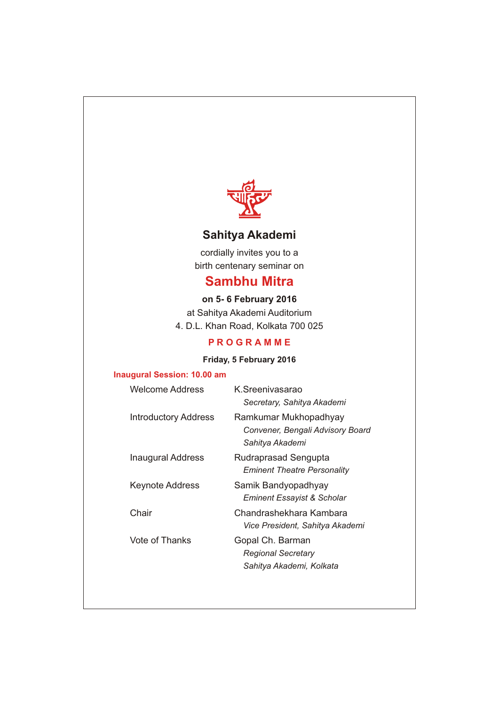

# **Sahitya Akademi**

cordially invites you to a birth centenary seminar on

# **Sambhu Mitra**

**on 5- 6 February 2016** at Sahitya Akademi Auditorium 4. D.L. Khan Road, Kolkata 700 025

## **P R O G R A M M E**

## **Friday, 5 February 2016**

#### **Inaugural Session: 10.00 am**

| Welcome Address             | K Sreenivasarao<br>Secretary, Sahitya Akademi                                |
|-----------------------------|------------------------------------------------------------------------------|
| <b>Introductory Address</b> | Ramkumar Mukhopadhyay<br>Convener, Bengali Advisory Board<br>Sahitya Akademi |
| Inaugural Address           | Rudraprasad Sengupta<br><b>Eminent Theatre Personality</b>                   |
| <b>Keynote Address</b>      | Samik Bandyopadhyay<br>Eminent Essayist & Scholar                            |
| Chair                       | Chandrashekhara Kambara<br>Vice President, Sahitya Akademi                   |
| Vote of Thanks              | Gopal Ch. Barman<br>Regional Secretary<br>Sahitya Akademi, Kolkata           |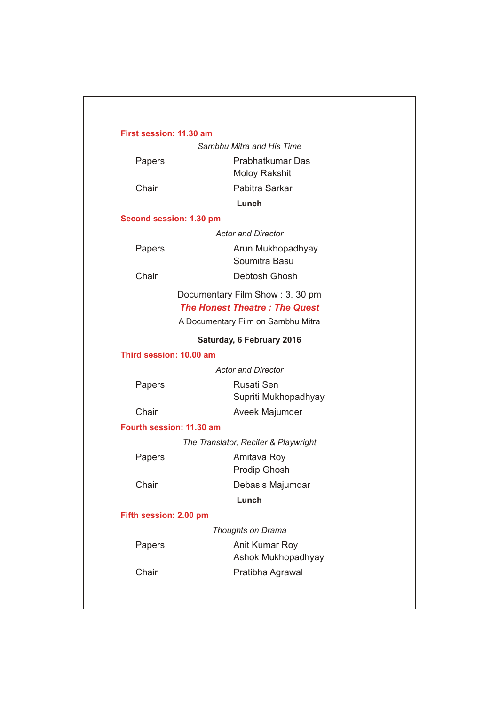#### **First session: 11.30 am**

*Sambhu Mitra and His Time*

Papers **Prabhatkumar Das** Moloy Rakshit Chair Pabitra Sarkar **Lunch** *Actor and Director* Papers **Arun Mukhopadhyay** Soumitra Basu **Second session: 1.30 pm**

Chair Debtosh Ghosh

Documentary Film Show : 3. 30 pm *The Honest Theatre : The Quest*

A Documentary Film on Sambhu Mitra

#### **Saturday, 6 February 2016**

**Third session: 10.00 am**

*Actor and Director*

| Papers | Rusati Sen           |
|--------|----------------------|
|        | Supriti Mukhopadhyay |
| Chair  | Aveek Majumder       |

**Fourth session: 11.30 am**

*The Translator, Reciter & Playwright*

Papers **Amitava Roy** 

Prodip Ghosh

Chair Debasis Majumdar

**Lunch**

**Fifth session: 2.00 pm**

*Thoughts on Drama*

Papers **Anit Kumar Roy** Ashok Mukhopadhyay Chair **Pratibha Agrawal**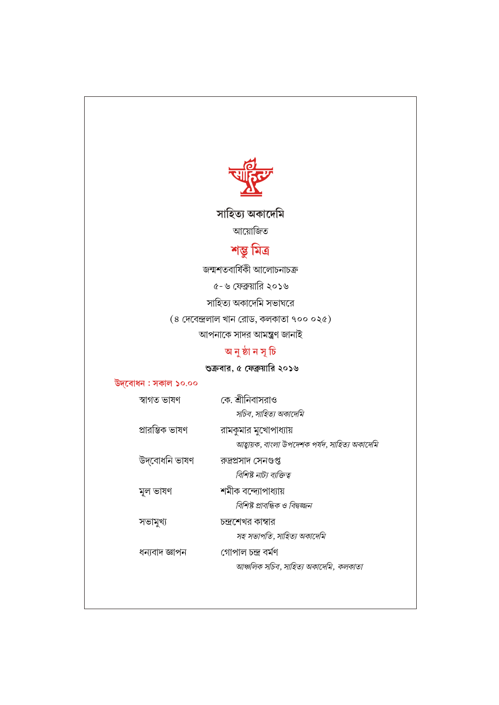

সাহিত্য অকাদেমি

আয়োজিত

# শস্তু মিত্ৰ

জন্মশতবাৰ্ষিকী আলোচনাচক্ৰ

৫- ৬ ফেব্রুয়ারি ২০১৬

সাহিত্য অকাদেমি সভাঘরে

 $(8 \text{ (HCl)} \text{ and } 8 \text{ (HCl)} \text{ and } 8 \text{ (HCl)} \text{ and } 100 \text{ (HCl)} \text{ and } 100 \text{ (HCl)} \text{ and } 100 \text{ (HCl)} \text{ and } 100 \text{ (HCl)} \text{ and } 100 \text{ (HCl)} \text{ and } 100 \text{ (HCl)} \text{ and } 100 \text{ (HCl)} \text{ and } 100 \text{ (HCl)} \text{ and } 100 \text{ (HCl)} \text{ and } 100 \text{ (HCl)} \text{ and } 100 \text{ (HCl)} \text{ and }$ 

আপনাকে সাদর আমন্ত্রণ জানাই

# অ নু ষ্ঠা ন সূ চি

# শুক্রবার, ৫ ফেব্রুয়ারি ২০১৬

## উদ্বোধন : সকাল ১০.০০

| স্বাগত ভাষণ     | কে. শ্রীনিবাসরাও                              |
|-----------------|-----------------------------------------------|
|                 | সচিব, সাহিত্য অকাদেমি                         |
| প্ৰারম্ভিক ভাষণ | রামকুমার মুখোপাধ্যায়                         |
|                 | আহ্বায়ক, বাংলা উপদেশক পর্যদ, সাহিত্য অকাদেমি |
| উদ্বোধনি ভাষণ   | রুদ্রপ্রসাদ সেনগুপ্ত                          |
|                 | বিশিষ্ট নাট্য ব্যক্তিত্ব                      |
| মূল ভাষণ        | শমীক বন্দ্যোপাধ্যায়                          |
|                 | বিশিষ্ট প্রাবন্ধিক ও বিদ্বজ্জন                |
| সভামুখ্য        | চন্দ্রশেখর কাম্বার                            |
|                 | সহ সভাপতি, সাহিত্য অকাদেমি                    |
| ধন্যবাদ জ্ঞাপন  | গোপাল চন্দ্ৰ বৰ্মণ                            |
|                 | আঞ্চলিক সচিব, সাহিত্য অকাদেমি, কলকাতা         |